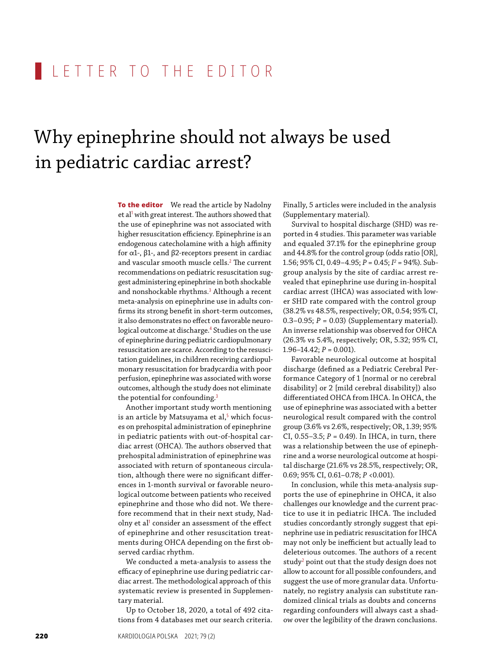# LETTER TO THE EDITOR

# Why epinephrine should not always be used in pediatric cardiac arrest?

To the editor We read the article by Nadolny et al<sup>1</sup> with great interest. The authors showed that the use of epinephrine was not associated with higher resuscitation efficiency. Epinephrine is an endogenous catecholamine with a high affinity for α1-, β1-, and β2-receptors present in cardiac and vascular smooth muscle cells.<sup>2</sup> The current recommendations on pediatric resuscitation suggest administering epinephrine in both shockable and nonshockable rhythms.<sup>3</sup> Although a recent meta-analysis on epinephrine use in adults confirms its strong benefit in short-term outcomes, it also demonstrates no effect on favorable neurological outcome at discharge.<sup>4</sup> Studies on the use of epinephrine during pediatric cardiopulmonary resuscitation are scarce. According to the resuscitation guidelines, in children receiving cardiopulmonary resuscitation for bradycardia with poor perfusion, epinephrine was associated with worse outcomes, although the study does not eliminate the potential for confounding.<sup>3</sup>

Another important study worth mentioning is an article by Matsuyama et al,<sup>5</sup> which focuses on prehospital administration of epinephrine in pediatric patients with out-of-hospital cardiac arrest (OHCA). The authors observed that prehospital administration of epinephrine was associated with return of spontaneous circulation, although there were no significant differences in 1-month survival or favorable neurological outcome between patients who received epinephrine and those who did not. We therefore recommend that in their next study, Nadolny et al<sup>1</sup> consider an assessment of the effect of epinephrine and other resuscitation treatments during OHCA depending on the first observed cardiac rhythm.

We conducted a meta‑analysis to assess the efficacy of epinephrine use during pediatric cardiac arrest. The methodological approach of this systematic review is presented in Supplementary material.

Up to October 18, 2020, a total of 492 citations from 4 databases met our search criteria.

Finally, 5 articles were included in the analysis (Supplementary material).

Survival to hospital discharge (SHD) was re‑ ported in 4 studies. This parameter was variable and equaled 37.1% for the epinephrine group and 44.8% for the control group (odds ratio [OR], 1.56; 95% CI, 0.49–4.95; *P* = 0.45; *I2* = 94%). Sub‑ group analysis by the site of cardiac arrest re‑ vealed that epinephrine use during in‑hospital cardiac arrest (IHCA) was associated with lower SHD rate compared with the control group (38.2% vs 48.5%, respectively; OR, 0.54; 95% CI, 0.3–0.95;  $P = 0.03$ ) (Supplementary material). An inverse relationship was observed for OHCA (26.3% vs 5.4%, respectively; OR, 5.32; 95% CI,  $1.96 - 14.42$ ;  $P = 0.001$ ).

Favorable neurological outcome at hospital discharge (defined as a Pediatric Cerebral Per‑ formance Category of 1 [normal or no cerebral disability] or 2 [mild cerebral disability]) also differentiated OHCA from IHCA. In OHCA, the use of epinephrine was associated with a better neurological result compared with the control group (3.6% vs 2.6%, respectively; OR, 1.39; 95% CI, 0.55–3.5; *P* = 0.49). In IHCA, in turn, there was a relationship between the use of epinephrine and a worse neurological outcome at hospital discharge (21.6% vs 28.5%, respectively; OR, 0.69; 95% CI, 0.61–0.78; *P* <0.001).

In conclusion, while this meta-analysis supports the use of epinephrine in OHCA, it also challenges our knowledge and the current practice to use it in pediatric IHCA. The included studies concordantly strongly suggest that epinephrine use in pediatric resuscitation for IHCA may not only be inefficient but actually lead to deleterious outcomes. The authors of a recent study<sup>2</sup> point out that the study design does not allow to account for all possible confounders, and suggest the use of more granular data. Unfortunately, no registry analysis can substitute ran‑ domized clinical trials as doubts and concerns regarding confounders will always cast a shadow over the legibility of the drawn conclusions.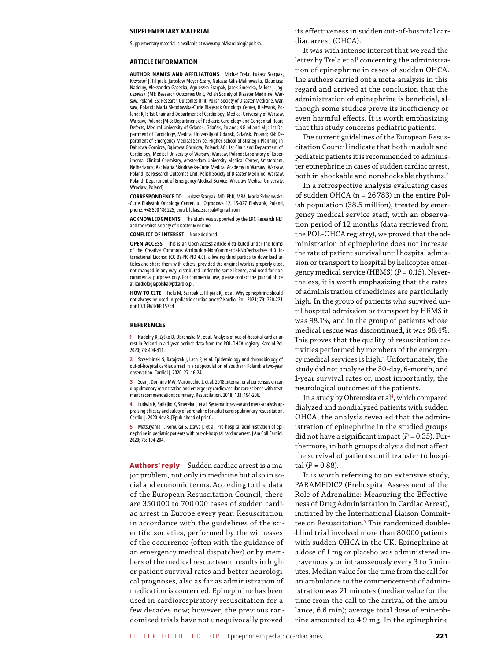#### **Supplementary material**

Supplementary material is available at [www.mp.pl/kardiologiapolska.](https://www.doi.org/10.33963/KP.15754)

### **Article information**

**Author names and affiliations** Michał Trela, Łukasz Szarpak, Krzysztof J. Filipiak, Jarosław Meyer-Szary, Natasza Gilis-Malinowska, Klaudiusz Nadolny, Aleksandra Gąsecka, Agnieszka Szarpak, Jacek Smereka, Miłosz J. Jag‑ uszewski (MT: Research Outcomes Unit, Polish Society of Disaster Medicine, Warsaw, Poland; ŁS: Research Outcomes Unit, Polish Society of Disaster Medicine, Warsaw, Poland; Maria Skłodowska-Curie Bialystok Oncology Center, Białystok, Poland; KJF: 1st Chair and Department of Cardiology, Medical University of Warsaw, Warsaw, Poland; JM‑S: Department of Pediatric Cardiology and Congenital Heart Defects, Medical University of Gdansk, Gdańsk, Poland; NG‑M and MJJ: 1st De‑ partment of Cardiology, Medical University of Gdansk, Gdańsk, Poland; KN: Department of Emergency Medical Service, Higher School of Strategic Planning in Dabrowa Gornicza, Dąbrowa Górnicza, Poland; AG: 1st Chair and Department of Cardiology, Medical University of Warsaw, Warsaw, Poland; Laboratory of Exper‑ imental Clinical Chemistry, Amsterdam University Medical Center, Amsterdam, Netherlands; AS: Maria Skłodowska‑Curie Medical Academy in Warsaw, Warsaw, Poland; JS: Research Outcomes Unit, Polish Society of Disaster Medicine, Warsaw, Poland; Department of Emergency Medical Service, Wroclaw Medical University, Wrocław, Poland)

**Correspondence to** Łukasz Szarpak, MD, PhD, MBA, Maria Skłodowska-‑Curie Bialystok Oncology Center, ul. Ogrodowa 12, 15-027 Białystok, Poland, phone: +48 500 186 225, email: lukasz.szarpak@gmail.com

**Acknowledgments** The study was supported by the ERC Research NET and the Polish Society of Disaster Medicine.

#### **Conflict of interest** None declared.

**Open access** This is an Open Access article distributed under the terms of the Creative Commons Attribution-NonCommercial-NoDerivatives 4.0 International License (CC BY-NC-ND 4.0), allowing third parties to download articles and share them with others, provided the original work is properly cited, not changed in any way, distributed under the same license, and used for noncommercial purposes only. For commercial use, please contact the journal office at kardiologiapolska@ptkardio.pl.

**HOW TO CITE** Trela M, Szarpak Ł, Filipiak KJ, et al. Why epinephrine should not always be used in pediatric cardiac arrest? Kardiol Pol. 2021; 79: 220-221. doi:10.33963/KP.15754

#### **References**

**1**  [Nadolny K, Zyśko D, Obremska M, et al. Analysis of out‑of‑hospital cardiac ar‑](https://www.doi.org/10.33963/KP.15241) [rest in Poland in a 1-year period: data from the POL‑OHCA registry. Kardiol Pol.](https://www.doi.org/10.33963/KP.15241) [2020; 78: 404-411.](https://www.doi.org/10.33963/KP.15241)

**2**  [Szczerbinski S, Ratajczak J, Lach P, et al. Epidemiology and chronobiology of](https://doi.org/10.5603/CJ.a2018.0025)  out-of-hospital cardiac arrest in a subpopulation of southern Poland: a two-year [observation. Cardiol J. 2020; 27: 16-24.](https://doi.org/10.5603/CJ.a2018.0025)

**3** Soar J, Donnino MW, Maconochie I, et al. 2018 International consensus on car[diopulmonary resuscitation and emergency cardiovascular care science with treat](https://doi.org/10.1016/j.resuscitation.2018.10.017)‑ [ment recommendations summary. Resuscitation. 2018; 133: 194-206.](https://doi.org/10.1016/j.resuscitation.2018.10.017)

**4** Ludwin K, Safiejko K, Smereka J, et al. Systematic review and meta-analysis ap[praising efficacy and safety of adrenaline for adult cardiopulmonary resuscitation.](https://doi.org/10.5603/CJ.a2020.0133) [Cardiol J. 2020 Nov 3. \[Epub ahead of print\].](https://doi.org/10.5603/CJ.a2020.0133)

Matsuyama T, Komukai S, Izawa J, et al. Pre-hospital administration of epi[nephrine in pediatric patients with out‑of‑hospital cardiac arrest. J Am Coll Cardiol.](https://doi.org/10.1016/j.jacc.2019.10.052)  [2020; 75: 194-204.](https://doi.org/10.1016/j.jacc.2019.10.052)

Authors' reply Sudden cardiac arrest is a major problem, not only in medicine but also in social and economic terms. According to the data of the European Resuscitation Council, there are 350 000 to 700 000 cases of sudden cardiac arrest in Europe every year. Resuscitation in accordance with the guidelines of the scientific societies, performed by the witnesses of the occurrence (often with the guidance of an emergency medical dispatcher) or by members of the medical rescue team, results in higher patient survival rates and better neurological prognoses, also as far as administration of medication is concerned. Epinephrine has been used in cardiorespiratory resuscitation for a few decades now; however, the previous randomized trials have not unequivocally proved

its effectiveness in sudden out-of-hospital cardiac arrest (OHCA).

It was with intense interest that we read the letter by Trela et al<sup>1</sup> concerning the administration of epinephrine in cases of sudden OHCA. The authors carried out a meta-analysis in this regard and arrived at the conclusion that the administration of epinephrine is beneficial, although some studies prove its inefficiency or even harmful effects. It is worth emphasizing that this study concerns pediatric patients.

The current guidelines of the European Resuscitation Council indicate that both in adult and pediatric patients it is recommended to adminis‑ ter epinephrine in cases of sudden cardiac arrest, both in shockable and nonshockable rhythms.<sup>2</sup>

In a retrospective analysis evaluating cases of sudden OHCA ( $n = 26783$ ) in the entire Polish population (38.5 million), treated by emergency medical service staff, with an observation period of 12 months (data retrieved from the POL-OHCA registry), we proved that the administration of epinephrine does not increase the rate of patient survival until hospital admis‑ sion or transport to hospital by helicopter emergency medical service (HEMS) (*P* = 0.15). Never‑ theless, it is worth emphasizing that the rates of administration of medicines are particularly high. In the group of patients who survived until hospital admission or transport by HEMS it was 98.1%, and in the group of patients whose medical rescue was discontinued, it was 98.4%. This proves that the quality of resuscitation activities performed by members of the emergency medical services is high.<sup>3</sup> Unfortunately, the study did not analyze the 30-day, 6-month, and 1-year survival rates or, most importantly, the neurological outcomes of the patients.

In a study by Obremska et al<sup>4</sup>, which compared dialyzed and nondialyzed patients with sudden OHCA, the analysis revealed that the administration of epinephrine in the studied groups did not have a significant impact  $(P = 0.35)$ . Furthermore, in both groups dialysis did not affect the survival of patients until transfer to hospital  $(P = 0.88)$ .

It is worth referring to an extensive study, PARAMEDIC2 (Prehospital Assessment of the Role of Adrenaline: Measuring the Effectiveness of Drug Administration in Cardiac Arrest), initiated by the International Liaison Committee on Resuscitation.<sup>5</sup> This randomized double-‑blind trial involved more than 80000 patients with sudden OHCA in the UK. Epinephrine at a dose of 1 mg or placebo was administered intravenously or intraosseously every 3 to 5 min‑ utes. Median value for the time from the call for an ambulance to the commencement of administration was 21 minutes (median value for the time from the call to the arrival of the ambulance, 6.6 min); average total dose of epinephrine amounted to 4.9 mg. In the epinephrine